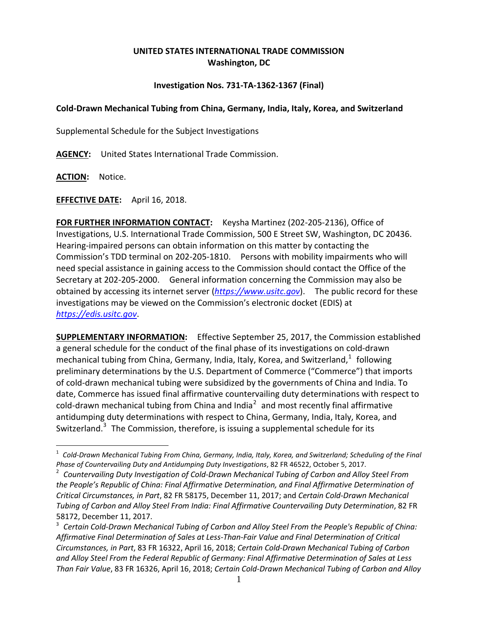## **UNITED STATES INTERNATIONAL TRADE COMMISSION Washington, DC**

## **Investigation Nos. 731-TA-1362-1367 (Final)**

## **Cold-Drawn Mechanical Tubing from China, Germany, India, Italy, Korea, and Switzerland**

Supplemental Schedule for the Subject Investigations

**AGENCY:** United States International Trade Commission.

**ACTION:** Notice.

**EFFECTIVE DATE:** April 16, 2018.

**FOR FURTHER INFORMATION CONTACT:** Keysha Martinez (202-205-2136), Office of Investigations, U.S. International Trade Commission, 500 E Street SW, Washington, DC 20436. Hearing-impaired persons can obtain information on this matter by contacting the Commission's TDD terminal on 202-205-1810. Persons with mobility impairments who will need special assistance in gaining access to the Commission should contact the Office of the Secretary at 202-205-2000. General information concerning the Commission may also be obtained by accessing its internet server (*[https://www.usitc.gov](https://www.usitc.gov/)*). The public record for these investigations may be viewed on the Commission's electronic docket (EDIS) at *[https://edis.usitc.gov](https://edis.usitc.gov/)*.

**SUPPLEMENTARY INFORMATION:** Effective September 25, 2017, the Commission established a general schedule for the conduct of the final phase of its investigations on cold-drawn mechanical tubing from China, Germany, India, Italy, Korea, and Switzerland,  $^{1}$  $^{1}$  $^{1}$  following preliminary determinations by the U.S. Department of Commerce ("Commerce") that imports of cold-drawn mechanical tubing were subsidized by the governments of China and India. To date, Commerce has issued final affirmative countervailing duty determinations with respect to cold-drawn mechanical tubing from China and India<sup>[2](#page-0-1)</sup> and most recently final affirmative antidumping duty determinations with respect to China, Germany, India, Italy, Korea, and Switzerland.<sup>[3](#page-0-2)</sup> The Commission, therefore, is issuing a supplemental schedule for its

<span id="page-0-0"></span><sup>1</sup> *Cold-Drawn Mechanical Tubing From China, Germany, India, Italy, Korea, and Switzerland; Scheduling of the Final Phase of Countervailing Duty and Antidumping Duty Investigations*, 82 FR 46522, October 5, 2017.

<span id="page-0-1"></span><sup>2</sup> *Countervailing Duty Investigation of Cold-Drawn Mechanical Tubing of Carbon and Alloy Steel From the People's Republic of China: Final Affirmative Determination, and Final Affirmative Determination of Critical Circumstances, in Part*, 82 FR 58175, December 11, 2017; and *Certain Cold-Drawn Mechanical Tubing of Carbon and Alloy Steel From India: Final Affirmative Countervailing Duty Determination*, 82 FR 58172, December 11, 2017.

<span id="page-0-2"></span><sup>3</sup> *Certain Cold-Drawn Mechanical Tubing of Carbon and Alloy Steel From the People's Republic of China: Affirmative Final Determination of Sales at Less-Than-Fair Value and Final Determination of Critical Circumstances, in Part*, 83 FR 16322, April 16, 2018; *Certain Cold-Drawn Mechanical Tubing of Carbon and Alloy Steel From the Federal Republic of Germany: Final Affirmative Determination of Sales at Less Than Fair Value*, 83 FR 16326, April 16, 2018; *Certain Cold-Drawn Mechanical Tubing of Carbon and Alloy*